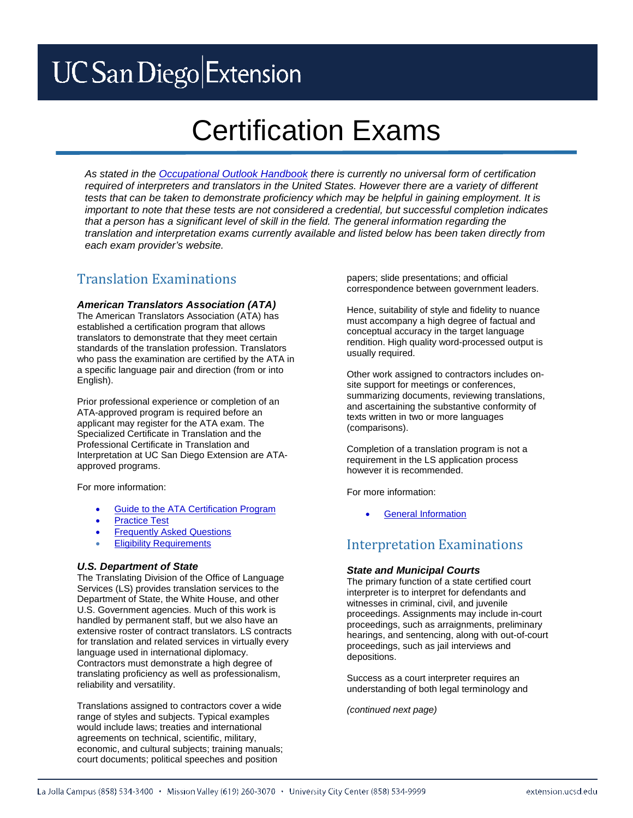# **UC** San Diego Extension

# Certification Exams

*As stated in the [Occupational Outlook Handbook](http://www.bls.gov/ooh/media-and-communication/interpreters-and-translators.htm%23tab-4) there is currently no universal form of certification required of interpreters and translators in the United States. However there are a variety of different tests that can be taken to demonstrate proficiency which may be helpful in gaining employment. It is important to note that these tests are not considered a credential, but successful completion indicates that a person has a significant level of skill in the field. The general information regarding the translation and interpretation exams currently available and listed below has been taken directly from each exam provider's website.*

# Translation Examinations

### *American Translators Association (ATA)*

The American Translators Association (ATA) has established a certification program that allows translators to demonstrate that they meet certain standards of the translation profession. Translators who pass the examination are certified by the ATA in a specific language pair and direction (from or into English).

Prior professional experience or completion of an ATA-approved program is required before an applicant may register for the ATA exam. The Specialized Certificate in Translation and the Professional Certificate in Translation and Interpretation at UC San Diego Extension are ATAapproved programs.

For more information:

- [Guide to the ATA Certification Program](http://atanet.org/certification/aboutcert_overview.php)
- **[Practice Test](http://atanet.org/certification/aboutpractice_test.php)**
- [Frequently Asked Questions](http://atanet.org/certification/aboutexams_faqs.php)
- **[Eligibility Requirements](http://www.atanet.org/certification/eligibility_requirementsform.php)**

#### *U.S. Department of State*

The Translating Division of the Office of Language Services (LS) provides translation services to the Department of State, the White House, and other U.S. Government agencies. Much of this work is handled by permanent staff, but we also have an extensive roster of contract translators. LS contracts for translation and related services in virtually every language used in international diplomacy. Contractors must demonstrate a high degree of translating proficiency as well as professionalism, reliability and versatility.

Translations assigned to contractors cover a wide range of styles and subjects. Typical examples would include laws; treaties and international agreements on technical, scientific, military, economic, and cultural subjects; training manuals; court documents; political speeches and position

papers; slide presentations; and official correspondence between government leaders.

Hence, suitability of style and fidelity to nuance must accompany a high degree of factual and conceptual accuracy in the target language rendition. High quality word-processed output is usually required.

Other work assigned to contractors includes onsite support for meetings or conferences, summarizing documents, reviewing translations, and ascertaining the substantive conformity of texts written in two or more languages (comparisons).

Completion of a translation program is not a requirement in the LS application process however it is recommended.

For more information:

**[General Information](http://www.state.gov/m/a/ols/c58126.htm)** 

# Interpretation Examinations

## *State and Municipal Courts*

The primary function of a state certified court interpreter is to interpret for defendants and witnesses in criminal, civil, and juvenile proceedings. Assignments may include in-court proceedings, such as arraignments, preliminary hearings, and sentencing, along with out-of-court proceedings, such as jail interviews and depositions.

Success as a court interpreter requires an understanding of both legal terminology and

*(continued next page)*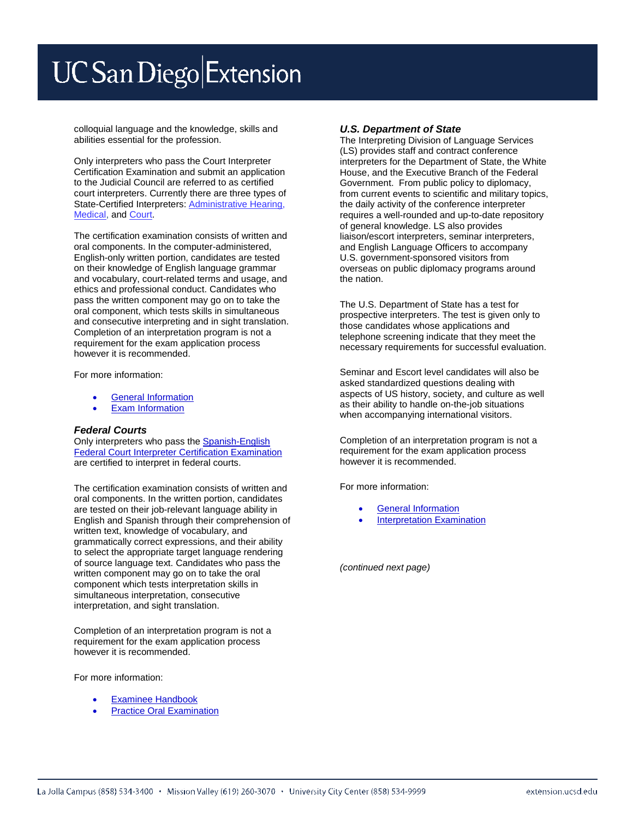# **UC** San Diego Extension

colloquial language and the knowledge, skills and abilities essential for the profession.

Only interpreters who pass the Court Interpreter Certification Examination and submit an application to the Judicial Council are referred to as certified court interpreters. Currently there are three types of State-Certified Interpreters[: Administrative Hearing,](http://www.calhr.ca.gov/state-hr-professionals/Pages/Bilingual-Services.aspx)  [Medical,](http://www.calhr.ca.gov/state-hr-professionals/Pages/Bilingual-Services.aspx) and [Court.](http://www.courts.ca.gov/programs-interpreters.htm)

The certification examination consists of written and oral components. In the computer-administered, English-only written portion, candidates are tested on their knowledge of English language grammar and vocabulary, court-related terms and usage, and ethics and professional conduct. Candidates who pass the written component may go on to take the oral component, which tests skills in simultaneous and consecutive interpreting and in sight translation. Completion of an interpretation program is not a requirement for the exam application process however it is recommended.

For more information:

- [General Information](http://www.courts.ca.gov/2694.htm)
- **[Exam Information](http://www.courts.ca.gov/2695.htm)**

#### *Federal Courts*

Only interpreters who pass the [Spanish-English](http://www.ncsc.org/fcice)  [Federal Court Interpreter Certification Examination](http://www.ncsc.org/fcice) are certified to interpret in federal courts.

The certification examination consists of written and oral components. In the written portion, candidates are tested on their job-relevant language ability in English and Spanish through their comprehension of written text, knowledge of vocabulary, and grammatically correct expressions, and their ability to select the appropriate target language rendering of source language text. Candidates who pass the written component may go on to take the oral component which tests interpretation skills in simultaneous interpretation, consecutive interpretation, and sight translation.

Completion of an interpretation program is not a requirement for the exam application process however it is recommended.

For more information:

- **[Examinee Handbook](http://www.ncsc.org/sitecore/content/microsites/fcice/home/About-the-program/Examinee-Handbook.aspx)**
- **[Practice Oral Examination](http://www.ncsc.org/sitecore/content/microsites/fcice/home/About-the-program/8-Oral-Practice-Exam.aspx)**

#### *U.S. Department of State*

The Interpreting Division of Language Services (LS) provides staff and contract conference interpreters for the Department of State, the White House, and the Executive Branch of the Federal Government. From public policy to diplomacy, from current events to scientific and military topics, the daily activity of the conference interpreter requires a well-rounded and up-to-date repository of general knowledge. LS also provides liaison/escort interpreters, seminar interpreters, and English Language Officers to accompany U.S. government-sponsored visitors from overseas on public diplomacy programs around the nation.

The U.S. Department of State has a test for prospective interpreters. The test is given only to those candidates whose applications and telephone screening indicate that they meet the necessary requirements for successful evaluation.

Seminar and Escort level candidates will also be asked standardized questions dealing with aspects of US history, society, and culture as well as their ability to handle on-the-job situations when accompanying international visitors.

Completion of an interpretation program is not a requirement for the exam application process however it is recommended.

For more information:

- [General Information](http://www.state.gov/m/a/ols/c56507.htm)
- [Interpretation Examination](http://www.state.gov/m/a/ols/c56573.htm)

*(continued next page)*